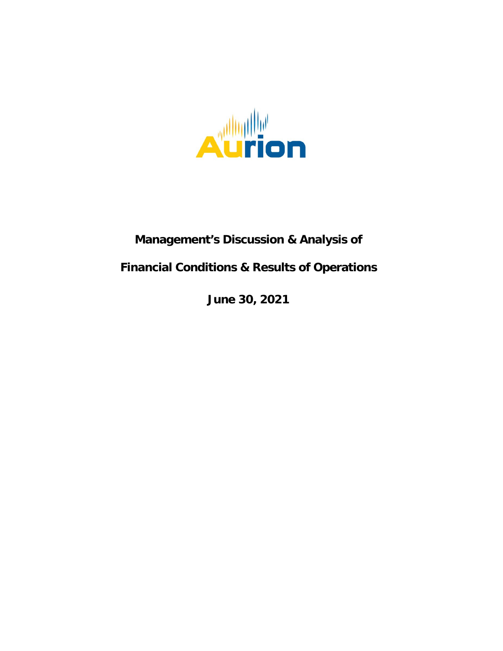

# **Management's Discussion & Analysis of**

# **Financial Conditions & Results of Operations**

**June 30, 2021**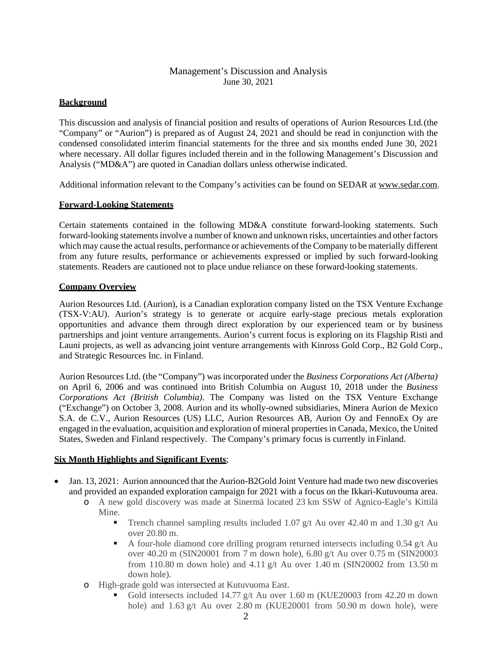# Management's Discussion and Analysis June 30, 2021

## **Background**

This discussion and analysis of financial position and results of operations of Aurion Resources Ltd.(the "Company" or "Aurion") is prepared as of August 24, 2021 and should be read in conjunction with the condensed consolidated interim financial statements for the three and six months ended June 30, 2021 where necessary. All dollar figures included therein and in the following Management's Discussion and Analysis ("MD&A") are quoted in Canadian dollars unless otherwise indicated.

Additional information relevant to the Company's activities can be found on SEDAR at [www.sedar.com.](http://www.sedar.com/)

## **Forward-Looking Statements**

Certain statements contained in the following MD&A constitute forward-looking statements. Such forward-looking statements involve a number of known and unknown risks, uncertainties and other factors which may cause the actual results, performance or achievements of the Company to be materially different from any future results, performance or achievements expressed or implied by such forward-looking statements. Readers are cautioned not to place undue reliance on these forward-looking statements.

## **Company Overview**

Aurion Resources Ltd. (Aurion), is a Canadian exploration company listed on the TSX Venture Exchange (TSX-V:AU). Aurion's strategy is to generate or acquire early-stage precious metals exploration opportunities and advance them through direct exploration by our experienced team or by business partnerships and joint venture arrangements. Aurion's current focus is exploring on its Flagship Risti and Launi projects, as well as advancing joint venture arrangements with Kinross Gold Corp., B2 Gold Corp., and Strategic Resources Inc. in Finland.

Aurion Resources Ltd. (the "Company") was incorporated under the *Business Corporations Act (Alberta)*  on April 6, 2006 and was continued into British Columbia on August 10, 2018 under the *Business Corporations Act (British Columbia)*. The Company was listed on the TSX Venture Exchange ("Exchange") on October 3, 2008. Aurion and its wholly-owned subsidiaries, Minera Aurion de Mexico S.A. de C.V., Aurion Resources (US) LLC, Aurion Resources AB, Aurion Oy and FennoEx Oy are engaged in the evaluation, acquisition and exploration of mineral properties in Canada, Mexico, the United States, Sweden and Finland respectively. The Company's primary focus is currently in Finland.

## **Six Month Highlights and Significant Events**;

- Jan. 13, 2021: Aurion announced that the Aurion-B2Gold Joint Venture had made two new discoveries and provided an expanded exploration campaign for 2021 with a focus on the Ikkari-Kutuvouma area.
	- o A new gold discovery was made at Sinermä located 23 km SSW of Agnico-Eagle's Kittilä Mine.
		- Trench channel sampling results included 1.07 g/t Au over 42.40 m and 1.30 g/t Au over 20.80 m.
		- A four-hole diamond core drilling program returned intersects including  $0.54$  g/t Au over 40.20 m (SIN20001 from 7 m down hole), 6.80 g/t Au over 0.75 m (SIN20003 from 110.80 m down hole) and 4.11 g/t Au over 1.40 m (SIN20002 from 13.50 m down hole).
	- o High-grade gold was intersected at Kutuvuoma East.
		- Gold intersects included 14.77 g/t Au over 1.60 m (KUE20003 from 42.20 m down hole) and  $1.63$  g/t Au over  $2.80$  m (KUE20001 from  $50.90$  m down hole), were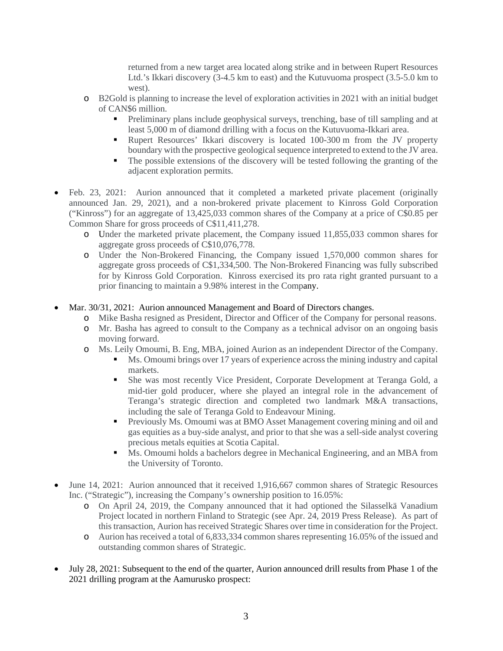returned from a new target area located along strike and in between Rupert Resources Ltd.'s Ikkari discovery (3-4.5 km to east) and the Kutuvuoma prospect (3.5-5.0 km to west).

- o B2Gold is planning to increase the level of exploration activities in 2021 with an initial budget of CAN\$6 million.
	- Preliminary plans include geophysical surveys, trenching, base of till sampling and at least 5,000 m of diamond drilling with a focus on the Kutuvuoma-Ikkari area.
	- Rupert Resources' Ikkari discovery is located 100-300 m from the JV property boundary with the prospective geological sequence interpreted to extend to the JV area.
	- The possible extensions of the discovery will be tested following the granting of the adjacent exploration permits.
- Feb. 23, 2021: Aurion announced that it completed a marketed private placement (originally announced Jan. 29, 2021), and a non-brokered private placement to Kinross Gold Corporation ("Kinross") for an aggregate of 13,425,033 common shares of the Company at a price of C\$0.85 per Common Share for gross proceeds of C\$11,411,278.
	- o Under the marketed private placement, the Company issued 11,855,033 common shares for aggregate gross proceeds of C\$10,076,778.
	- o Under the Non-Brokered Financing, the Company issued 1,570,000 common shares for aggregate gross proceeds of C\$1,334,500. The Non-Brokered Financing was fully subscribed for by Kinross Gold Corporation. Kinross exercised its pro rata right granted pursuant to a prior financing to maintain a 9.98% interest in the Company.
- Mar. 30/31, 2021: Aurion announced Management and Board of Directors changes.
	- o Mike Basha resigned as President, Director and Officer of the Company for personal reasons.
	- o Mr. Basha has agreed to consult to the Company as a technical advisor on an ongoing basis moving forward.
	- o Ms. Leily Omoumi, B. Eng, MBA, joined Aurion as an independent Director of the Company.
		- Ms. Omoumi brings over 17 years of experience across the mining industry and capital markets.
		- She was most recently Vice President, Corporate Development at Teranga Gold, a mid-tier gold producer, where she played an integral role in the advancement of Teranga's strategic direction and completed two landmark M&A transactions, including the sale of Teranga Gold to Endeavour Mining.
		- Previously Ms. Omoumi was at BMO Asset Management covering mining and oil and gas equities as a buy-side analyst, and prior to that she was a sell-side analyst covering precious metals equities at Scotia Capital.
		- Ms. Omoumi holds a bachelors degree in Mechanical Engineering, and an MBA from the University of Toronto.
- June 14, 2021: Aurion announced that it received 1,916,667 common shares of Strategic Resources Inc. ("Strategic"), increasing the Company's ownership position to 16.05%:
	- o On April 24, 2019, the Company announced that it had optioned the Silasselkä Vanadium Project located in northern Finland to Strategic (see Apr. 24, 2019 Press Release). As part of this transaction, Aurion has received Strategic Shares over time in consideration for the Project.
	- o Aurion has received a total of 6,833,334 common shares representing 16.05% of the issued and outstanding common shares of Strategic.
- July 28, 2021: Subsequent to the end of the quarter, Aurion announced drill results from Phase 1 of the 2021 drilling program at the Aamurusko prospect: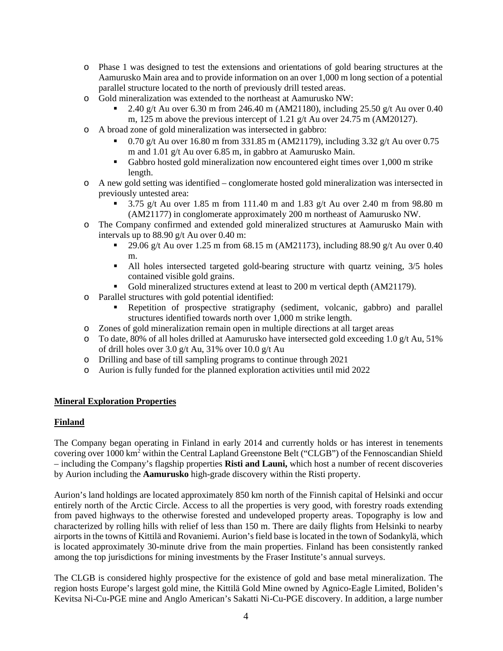- o Phase 1 was designed to test the extensions and orientations of gold bearing structures at the Aamurusko Main area and to provide information on an over 1,000 m long section of a potential parallel structure located to the north of previously drill tested areas.
- o Gold mineralization was extended to the northeast at Aamurusko NW:
	- 2.40 g/t Au over 6.30 m from 246.40 m (AM21180), including 25.50 g/t Au over 0.40 m, 125 m above the previous intercept of 1.21 g/t Au over 24.75 m (AM20127).
- o A broad zone of gold mineralization was intersected in gabbro:
	- 0.70 g/t Au over 16.80 m from 331.85 m (AM21179), including 3.32 g/t Au over 0.75 m and 1.01 g/t Au over 6.85 m, in gabbro at Aamurusko Main.
	- Gabbro hosted gold mineralization now encountered eight times over 1,000 m strike length.
- o A new gold setting was identified conglomerate hosted gold mineralization was intersected in previously untested area:
	- 3.75 g/t Au over 1.85 m from 111.40 m and 1.83 g/t Au over 2.40 m from 98.80 m (AM21177) in conglomerate approximately 200 m northeast of Aamurusko NW.
- o The Company confirmed and extended gold mineralized structures at Aamurusko Main with intervals up to 88.90 g/t Au over 0.40 m:
	- 29.06 g/t Au over 1.25 m from 68.15 m (AM21173), including 88.90 g/t Au over 0.40 m.
	- All holes intersected targeted gold-bearing structure with quartz veining, 3/5 holes contained visible gold grains.
	- Gold mineralized structures extend at least to 200 m vertical depth (AM21179).
- o Parallel structures with gold potential identified:
	- Repetition of prospective stratigraphy (sediment, volcanic, gabbro) and parallel structures identified towards north over 1,000 m strike length.
- o Zones of gold mineralization remain open in multiple directions at all target areas
- o To date, 80% of all holes drilled at Aamurusko have intersected gold exceeding 1.0 g/t Au, 51% of drill holes over 3.0 g/t Au, 31% over 10.0 g/t Au
- o Drilling and base of till sampling programs to continue through 2021
- o Aurion is fully funded for the planned exploration activities until mid 2022

# **Mineral Exploration Properties**

## **Finland**

The Company began operating in Finland in early 2014 and currently holds or has interest in tenements covering over 1000 km2 within the Central Lapland Greenstone Belt ("CLGB") of the Fennoscandian Shield – including the Company's flagship properties **Risti and Launi,** which host a number of recent discoveries by Aurion including the **Aamurusko** high-grade discovery within the Risti property.

Aurion's land holdings are located approximately 850 km north of the Finnish capital of Helsinki and occur entirely north of the Arctic Circle. Access to all the properties is very good, with forestry roads extending from paved highways to the otherwise forested and undeveloped property areas. Topography is low and characterized by rolling hills with relief of less than 150 m. There are daily flights from Helsinki to nearby airports in the towns of Kittilä and Rovaniemi. Aurion's field base islocated in the town of Sodankylä, which is located approximately 30-minute drive from the main properties. Finland has been consistently ranked among the top jurisdictions for mining investments by the Fraser Institute's annual surveys.

The CLGB is considered highly prospective for the existence of gold and base metal mineralization. The region hosts Europe's largest gold mine, the Kittilä Gold Mine owned by Agnico-Eagle Limited, Boliden's Kevitsa Ni-Cu-PGE mine and Anglo American's Sakatti Ni-Cu-PGE discovery. In addition, a large number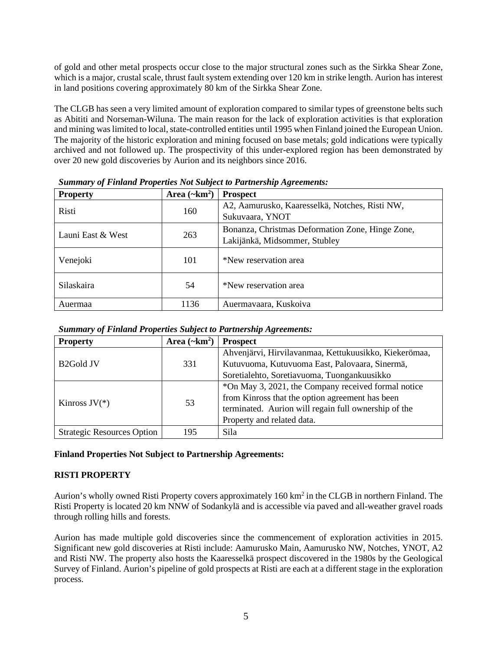of gold and other metal prospects occur close to the major structural zones such as the Sirkka Shear Zone, which is a major, crustal scale, thrust fault system extending over 120 km in strike length. Aurion has interest in land positions covering approximately 80 km of the Sirkka Shear Zone.

The CLGB has seen a very limited amount of exploration compared to similar types of greenstone belts such as Abititi and Norseman-Wiluna. The main reason for the lack of exploration activities is that exploration and mining was limited to local, state-controlled entities until 1995 when Finland joined the European Union. The majority of the historic exploration and mining focused on base metals; gold indications were typically archived and not followed up. The prospectivity of this under-explored region has been demonstrated by over 20 new gold discoveries by Aurion and its neighbors since 2016.

| <b>Property</b>   | Area $(\sim km^2)$ | <b>Prospect</b>                                                                   |
|-------------------|--------------------|-----------------------------------------------------------------------------------|
| Risti             | 160                | A2, Aamurusko, Kaaresselkä, Notches, Risti NW,<br>Sukuvaara, YNOT                 |
| Launi East & West | 263                | Bonanza, Christmas Deformation Zone, Hinge Zone,<br>Lakijänkä, Midsommer, Stubley |
| Venejoki          | 101                | *New reservation area                                                             |
| <b>Silaskaira</b> | 54                 | *New reservation area                                                             |
| Auermaa           | 1136               | Auermavaara, Kuskoiva                                                             |

*Summary of Finland Properties Not Subject to Partnership Agreements:*

| <b>Property</b>                   | Area $(\sim km^2)$ | <b>Prospect</b>                                       |
|-----------------------------------|--------------------|-------------------------------------------------------|
|                                   |                    | Ahvenjärvi, Hirvilavanmaa, Kettukuusikko, Kiekerömaa, |
| B <sub>2</sub> Gold JV            | 331                | Kutuvuoma, Kutuvuoma East, Palovaara, Sinermä,        |
|                                   |                    | Soretialehto, Soretiavuoma, Tuongankuusikko           |
|                                   |                    | *On May 3, 2021, the Company received formal notice   |
| Kinross $JV(*)$                   | 53                 | from Kinross that the option agreement has been       |
|                                   |                    | terminated. Aurion will regain full ownership of the  |
|                                   |                    | Property and related data.                            |
| <b>Strategic Resources Option</b> | 195                | Sila                                                  |

## **Finland Properties Not Subject to Partnership Agreements:**

## **RISTI PROPERTY**

Aurion's wholly owned Risti Property covers approximately 160 km<sup>2</sup> in the CLGB in northern Finland. The Risti Property is located 20 km NNW of Sodankylä and is accessible via paved and all-weather gravel roads through rolling hills and forests.

Aurion has made multiple gold discoveries since the commencement of exploration activities in 2015. Significant new gold discoveries at Risti include: Aamurusko Main, Aamurusko NW, Notches, YNOT, A2 and Risti NW. The property also hosts the Kaaresselkä prospect discovered in the 1980s by the Geological Survey of Finland. Aurion's pipeline of gold prospects at Risti are each at a different stage in the exploration process.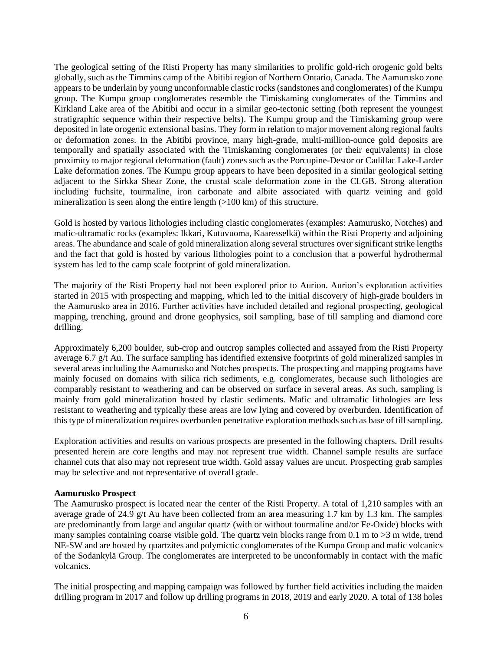The geological setting of the Risti Property has many similarities to prolific gold-rich orogenic gold belts globally, such as the Timmins camp of the Abitibi region of Northern Ontario, Canada. The Aamurusko zone appears to be underlain by young unconformable clastic rocks (sandstones and conglomerates) of the Kumpu group. The Kumpu group conglomerates resemble the Timiskaming conglomerates of the Timmins and Kirkland Lake area of the Abitibi and occur in a similar geo-tectonic setting (both represent the youngest stratigraphic sequence within their respective belts). The Kumpu group and the Timiskaming group were deposited in late orogenic extensional basins. They form in relation to major movement along regional faults or deformation zones. In the Abitibi province, many high-grade, multi-million-ounce gold deposits are temporally and spatially associated with the Timiskaming conglomerates (or their equivalents) in close proximity to major regional deformation (fault) zones such as the Porcupine-Destor or Cadillac Lake-Larder Lake deformation zones. The Kumpu group appears to have been deposited in a similar geological setting adjacent to the Sirkka Shear Zone, the crustal scale deformation zone in the CLGB. Strong alteration including fuchsite, tourmaline, iron carbonate and albite associated with quartz veining and gold mineralization is seen along the entire length (>100 km) of this structure.

Gold is hosted by various lithologies including clastic conglomerates (examples: Aamurusko, Notches) and mafic-ultramafic rocks (examples: Ikkari, Kutuvuoma, Kaaresselkä) within the Risti Property and adjoining areas. The abundance and scale of gold mineralization along several structures over significant strike lengths and the fact that gold is hosted by various lithologies point to a conclusion that a powerful hydrothermal system has led to the camp scale footprint of gold mineralization.

The majority of the Risti Property had not been explored prior to Aurion. Aurion's exploration activities started in 2015 with prospecting and mapping, which led to the initial discovery of high-grade boulders in the Aamurusko area in 2016. Further activities have included detailed and regional prospecting, geological mapping, trenching, ground and drone geophysics, soil sampling, base of till sampling and diamond core drilling.

Approximately 6,200 boulder, sub-crop and outcrop samples collected and assayed from the Risti Property average 6.7 g/t Au. The surface sampling has identified extensive footprints of gold mineralized samples in several areas including the Aamurusko and Notches prospects. The prospecting and mapping programs have mainly focused on domains with silica rich sediments, e.g. conglomerates, because such lithologies are comparably resistant to weathering and can be observed on surface in several areas. As such, sampling is mainly from gold mineralization hosted by clastic sediments. Mafic and ultramafic lithologies are less resistant to weathering and typically these areas are low lying and covered by overburden. Identification of this type of mineralization requires overburden penetrative exploration methods such as base of till sampling.

Exploration activities and results on various prospects are presented in the following chapters. Drill results presented herein are core lengths and may not represent true width. Channel sample results are surface channel cuts that also may not represent true width. Gold assay values are uncut. Prospecting grab samples may be selective and not representative of overall grade.

#### **Aamurusko Prospect**

The Aamurusko prospect is located near the center of the Risti Property. A total of 1,210 samples with an average grade of 24.9  $g/t$  Au have been collected from an area measuring 1.7 km by 1.3 km. The samples are predominantly from large and angular quartz (with or without tourmaline and/or Fe-Oxide) blocks with many samples containing coarse visible gold. The quartz vein blocks range from 0.1 m to  $>3$  m wide, trend NE-SW and are hosted by quartzites and polymictic conglomerates of the Kumpu Group and mafic volcanics of the Sodankylä Group. The conglomerates are interpreted to be unconformably in contact with the mafic volcanics.

The initial prospecting and mapping campaign was followed by further field activities including the maiden drilling program in 2017 and follow up drilling programs in 2018, 2019 and early 2020. A total of 138 holes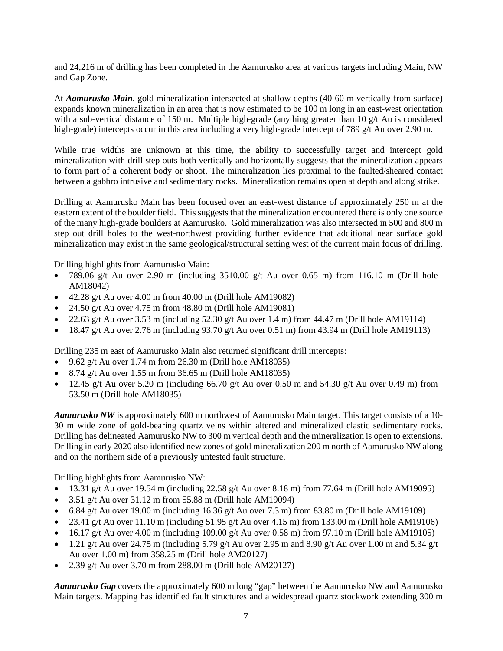and 24,216 m of drilling has been completed in the Aamurusko area at various targets including Main, NW and Gap Zone.

At *Aamurusko Main*, gold mineralization intersected at shallow depths (40-60 m vertically from surface) expands known mineralization in an area that is now estimated to be 100 m long in an east-west orientation with a sub-vertical distance of 150 m. Multiple high-grade (anything greater than 10 g/t Au is considered high-grade) intercepts occur in this area including a very high-grade intercept of 789 g/t Au over 2.90 m.

While true widths are unknown at this time, the ability to successfully target and intercept gold mineralization with drill step outs both vertically and horizontally suggests that the mineralization appears to form part of a coherent body or shoot. The mineralization lies proximal to the faulted/sheared contact between a gabbro intrusive and sedimentary rocks. Mineralization remains open at depth and along strike.

Drilling at Aamurusko Main has been focused over an east-west distance of approximately 250 m at the eastern extent of the boulder field. This suggests that the mineralization encountered there is only one source of the many high-grade boulders at Aamurusko. Gold mineralization was also intersected in 500 and 800 m step out drill holes to the west-northwest providing further evidence that additional near surface gold mineralization may exist in the same geological/structural setting west of the current main focus of drilling.

Drilling highlights from Aamurusko Main:

- 789.06 g/t Au over 2.90 m (including  $3510.00$  g/t Au over 0.65 m) from 116.10 m (Drill hole AM18042)
- $\bullet$  42.28 g/t Au over 4.00 m from 40.00 m (Drill hole AM19082)
- 24.50 g/t Au over 4.75 m from  $48.80$  m (Drill hole AM19081)
- 22.63 g/t Au over 3.53 m (including  $52.30$  g/t Au over 1.4 m) from 44.47 m (Drill hole AM19114)
- 18.47 g/t Au over 2.76 m (including  $93.70$  g/t Au over 0.51 m) from 43.94 m (Drill hole AM19113)

Drilling 235 m east of Aamurusko Main also returned significant drill intercepts:

- 9.62 g/t Au over 1.74 m from 26.30 m (Drill hole AM18035)
- 8.74 g/t Au over 1.55 m from 36.65 m (Drill hole AM18035)
- 12.45 g/t Au over 5.20 m (including 66.70 g/t Au over 0.50 m and 54.30 g/t Au over 0.49 m) from 53.50 m (Drill hole AM18035)

*Aamurusko NW* is approximately 600 m northwest of Aamurusko Main target. This target consists of a 10- 30 m wide zone of gold-bearing quartz veins within altered and mineralized clastic sedimentary rocks. Drilling has delineated Aamurusko NW to 300 m vertical depth and the mineralization is open to extensions. Drilling in early 2020 also identified new zones of gold mineralization 200 m north of Aamurusko NW along and on the northern side of a previously untested fault structure.

Drilling highlights from Aamurusko NW:

- 13.31 g/t Au over 19.54 m (including 22.58 g/t Au over 8.18 m) from 77.64 m (Drill hole AM19095)
- 3.51 g/t Au over  $31.12$  m from 55.88 m (Drill hole AM19094)
- 6.84 g/t Au over 19.00 m (including 16.36 g/t Au over 7.3 m) from 83.80 m (Drill hole AM19109)
- 23.41 g/t Au over 11.10 m (including 51.95 g/t Au over 4.15 m) from 133.00 m (Drill hole AM19106)
- 16.17 g/t Au over 4.00 m (including 109.00 g/t Au over 0.58 m) from 97.10 m (Drill hole AM19105)
- 1.21 g/t Au over 24.75 m (including 5.79 g/t Au over 2.95 m and 8.90 g/t Au over 1.00 m and 5.34 g/t Au over 1.00 m) from 358.25 m (Drill hole AM20127)
- 2.39 g/t Au over 3.70 m from 288.00 m (Drill hole AM20127)

*Aamurusko Gap* covers the approximately 600 m long "gap" between the Aamurusko NW and Aamurusko Main targets. Mapping has identified fault structures and a widespread quartz stockwork extending 300 m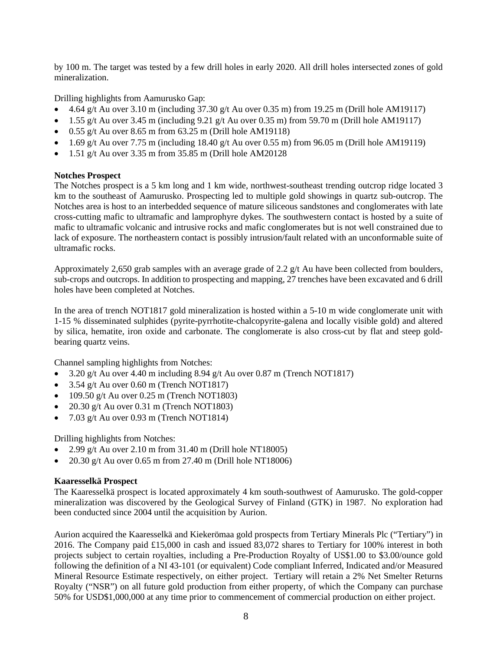by 100 m. The target was tested by a few drill holes in early 2020. All drill holes intersected zones of gold mineralization.

Drilling highlights from Aamurusko Gap:

- 4.64 g/t Au over 3.10 m (including 37.30 g/t Au over 0.35 m) from 19.25 m (Drill hole AM19117)
- 1.55 g/t Au over 3.45 m (including 9.21 g/t Au over 0.35 m) from 59.70 m (Drill hole AM19117)
- $\bullet$  0.55 g/t Au over 8.65 m from 63.25 m (Drill hole AM19118)
- 1.69 g/t Au over 7.75 m (including 18.40 g/t Au over 0.55 m) from 96.05 m (Drill hole AM19119)
- $\bullet$  1.51 g/t Au over 3.35 m from 35.85 m (Drill hole AM20128)

#### **Notches Prospect**

The Notches prospect is a 5 km long and 1 km wide, northwest-southeast trending outcrop ridge located 3 km to the southeast of Aamurusko. Prospecting led to multiple gold showings in quartz sub-outcrop. The Notches area is host to an interbedded sequence of mature siliceous sandstones and conglomerates with late cross-cutting mafic to ultramafic and lamprophyre dykes. The southwestern contact is hosted by a suite of mafic to ultramafic volcanic and intrusive rocks and mafic conglomerates but is not well constrained due to lack of exposure. The northeastern contact is possibly intrusion/fault related with an unconformable suite of ultramafic rocks.

Approximately 2,650 grab samples with an average grade of 2.2 g/t Au have been collected from boulders, sub-crops and outcrops. In addition to prospecting and mapping, 27 trenches have been excavated and 6 drill holes have been completed at Notches.

In the area of trench NOT1817 gold mineralization is hosted within a 5-10 m wide conglomerate unit with 1-15 % disseminated sulphides (pyrite-pyrrhotite-chalcopyrite-galena and locally visible gold) and altered by silica, hematite, iron oxide and carbonate. The conglomerate is also cross-cut by flat and steep goldbearing quartz veins.

Channel sampling highlights from Notches:

- 3.20 g/t Au over 4.40 m including  $8.94$  g/t Au over 0.87 m (Trench NOT1817)
- $3.54$  g/t Au over 0.60 m (Trench NOT1817)
- $\bullet$  109.50 g/t Au over 0.25 m (Trench NOT1803)
- 20.30 g/t Au over 0.31 m (Trench NOT1803)
- $7.03$  g/t Au over 0.93 m (Trench NOT1814)

Drilling highlights from Notches:

- 2.99 g/t Au over 2.10 m from  $31.40$  m (Drill hole NT18005)
- 20.30 g/t Au over 0.65 m from 27.40 m (Drill hole NT18006)

#### **Kaaresselkä Prospect**

The Kaaresselkä prospect is located approximately 4 km south-southwest of Aamurusko. The gold-copper mineralization was discovered by the Geological Survey of Finland (GTK) in 1987. No exploration had been conducted since 2004 until the acquisition by Aurion.

Aurion acquired the Kaaresselkä and Kiekerömaa gold prospects from Tertiary Minerals Plc ("Tertiary") in 2016. The Company paid £15,000 in cash and issued 83,072 shares to Tertiary for 100% interest in both projects subject to certain royalties, including a Pre-Production Royalty of US\$1.00 to \$3.00/ounce gold following the definition of a NI 43-101 (or equivalent) Code compliant Inferred, Indicated and/or Measured Mineral Resource Estimate respectively, on either project. Tertiary will retain a 2% Net Smelter Returns Royalty ("NSR") on all future gold production from either property, of which the Company can purchase 50% for USD\$1,000,000 at any time prior to commencement of commercial production on either project.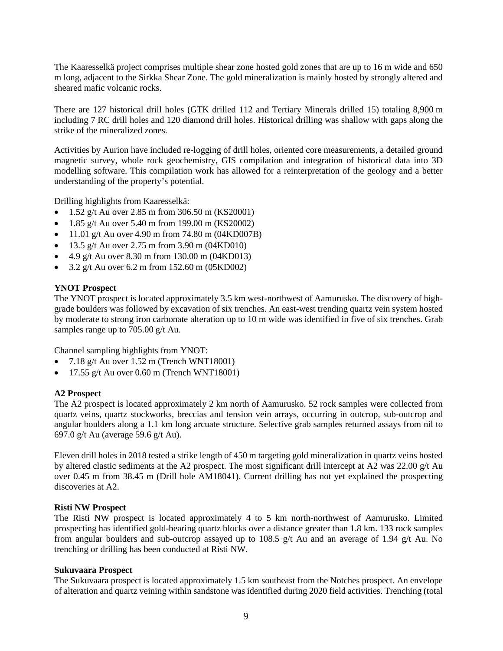The Kaaresselkä project comprises multiple shear zone hosted gold zones that are up to 16 m wide and 650 m long, adjacent to the Sirkka Shear Zone. The gold mineralization is mainly hosted by strongly altered and sheared mafic volcanic rocks.

There are 127 historical drill holes (GTK drilled 112 and Tertiary Minerals drilled 15) totaling 8,900 m including 7 RC drill holes and 120 diamond drill holes. Historical drilling was shallow with gaps along the strike of the mineralized zones.

Activities by Aurion have included re-logging of drill holes, oriented core measurements, a detailed ground magnetic survey, whole rock geochemistry, GIS compilation and integration of historical data into 3D modelling software. This compilation work has allowed for a reinterpretation of the geology and a better understanding of the property's potential.

Drilling highlights from Kaaresselkä:

- 1.52 g/t Au over 2.85 m from 306.50 m (KS20001)
- 1.85 g/t Au over 5.40 m from 199.00 m (KS20002)
- 11.01 g/t Au over 4.90 m from 74.80 m  $(04KD007B)$
- 13.5 g/t Au over 2.75 m from  $3.90$  m (04KD010)
- 4.9 g/t Au over 8.30 m from 130.00 m (04KD013)
- 3.2 g/t Au over 6.2 m from 152.60 m  $(05KD002)$

#### **YNOT Prospect**

The YNOT prospect is located approximately 3.5 km west-northwest of Aamurusko. The discovery of highgrade boulders was followed by excavation of six trenches. An east-west trending quartz vein system hosted by moderate to strong iron carbonate alteration up to 10 m wide was identified in five of six trenches. Grab samples range up to 705.00 g/t Au.

Channel sampling highlights from YNOT:

- $7.18 \text{ g/t}$  Au over  $1.52 \text{ m}$  (Trench WNT18001)
- 17.55 g/t Au over  $0.60$  m (Trench WNT18001)

#### **A2 Prospect**

The A2 prospect is located approximately 2 km north of Aamurusko. 52 rock samples were collected from quartz veins, quartz stockworks, breccias and tension vein arrays, occurring in outcrop, sub-outcrop and angular boulders along a 1.1 km long arcuate structure. Selective grab samples returned assays from nil to 697.0 g/t Au (average 59.6 g/t Au).

Eleven drill holes in 2018 tested a strike length of 450 m targeting gold mineralization in quartz veins hosted by altered clastic sediments at the A2 prospect. The most significant drill intercept at A2 was 22.00 g/t Au over 0.45 m from 38.45 m (Drill hole AM18041). Current drilling has not yet explained the prospecting discoveries at A2.

#### **Risti NW Prospect**

The Risti NW prospect is located approximately 4 to 5 km north-northwest of Aamurusko. Limited prospecting has identified gold-bearing quartz blocks over a distance greater than 1.8 km. 133 rock samples from angular boulders and sub-outcrop assayed up to 108.5 g/t Au and an average of 1.94 g/t Au. No trenching or drilling has been conducted at Risti NW.

#### **Sukuvaara Prospect**

The Sukuvaara prospect is located approximately 1.5 km southeast from the Notches prospect. An envelope of alteration and quartz veining within sandstone was identified during 2020 field activities. Trenching (total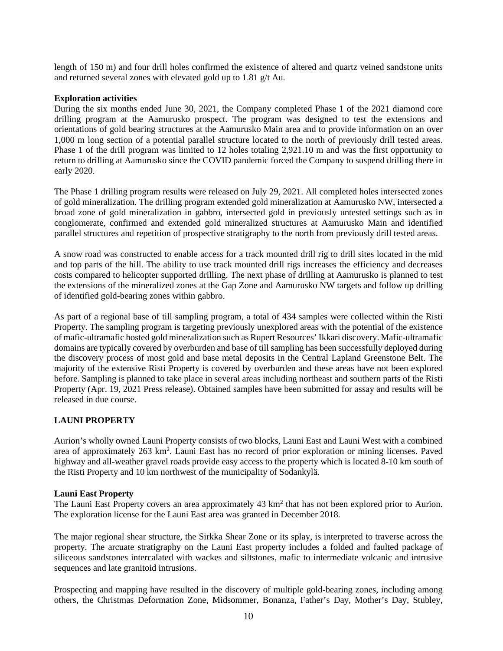length of 150 m) and four drill holes confirmed the existence of altered and quartz veined sandstone units and returned several zones with elevated gold up to 1.81 g/t Au.

#### **Exploration activities**

During the six months ended June 30, 2021, the Company completed Phase 1 of the 2021 diamond core drilling program at the Aamurusko prospect. The program was designed to test the extensions and orientations of gold bearing structures at the Aamurusko Main area and to provide information on an over 1,000 m long section of a potential parallel structure located to the north of previously drill tested areas. Phase 1 of the drill program was limited to 12 holes totaling 2,921.10 m and was the first opportunity to return to drilling at Aamurusko since the COVID pandemic forced the Company to suspend drilling there in early 2020.

The Phase 1 drilling program results were released on July 29, 2021. All completed holes intersected zones of gold mineralization. The drilling program extended gold mineralization at Aamurusko NW, intersected a broad zone of gold mineralization in gabbro, intersected gold in previously untested settings such as in conglomerate, confirmed and extended gold mineralized structures at Aamurusko Main and identified parallel structures and repetition of prospective stratigraphy to the north from previously drill tested areas.

A snow road was constructed to enable access for a track mounted drill rig to drill sites located in the mid and top parts of the hill. The ability to use track mounted drill rigs increases the efficiency and decreases costs compared to helicopter supported drilling. The next phase of drilling at Aamurusko is planned to test the extensions of the mineralized zones at the Gap Zone and Aamurusko NW targets and follow up drilling of identified gold-bearing zones within gabbro.

As part of a regional base of till sampling program, a total of 434 samples were collected within the Risti Property. The sampling program is targeting previously unexplored areas with the potential of the existence of mafic-ultramafic hosted gold mineralization such as Rupert Resources' Ikkari discovery. Mafic-ultramafic domains are typically covered by overburden and base of till sampling has been successfully deployed during the discovery process of most gold and base metal deposits in the Central Lapland Greenstone Belt. The majority of the extensive Risti Property is covered by overburden and these areas have not been explored before. Sampling is planned to take place in several areas including northeast and southern parts of the Risti Property (Apr. 19, 2021 Press release). Obtained samples have been submitted for assay and results will be released in due course.

# **LAUNI PROPERTY**

Aurion's wholly owned Launi Property consists of two blocks, Launi East and Launi West with a combined area of approximately 263 km<sup>2</sup>. Launi East has no record of prior exploration or mining licenses. Paved highway and all-weather gravel roads provide easy access to the property which is located 8-10 km south of the Risti Property and 10 km northwest of the municipality of Sodankylä.

## **Launi East Property**

The Launi East Property covers an area approximately 43 km<sup>2</sup> that has not been explored prior to Aurion. The exploration license for the Launi East area was granted in December 2018.

The major regional shear structure, the Sirkka Shear Zone or its splay, is interpreted to traverse across the property. The arcuate stratigraphy on the Launi East property includes a folded and faulted package of siliceous sandstones intercalated with wackes and siltstones, mafic to intermediate volcanic and intrusive sequences and late granitoid intrusions.

Prospecting and mapping have resulted in the discovery of multiple gold-bearing zones, including among others, the Christmas Deformation Zone, Midsommer, Bonanza, Father's Day, Mother's Day, Stubley,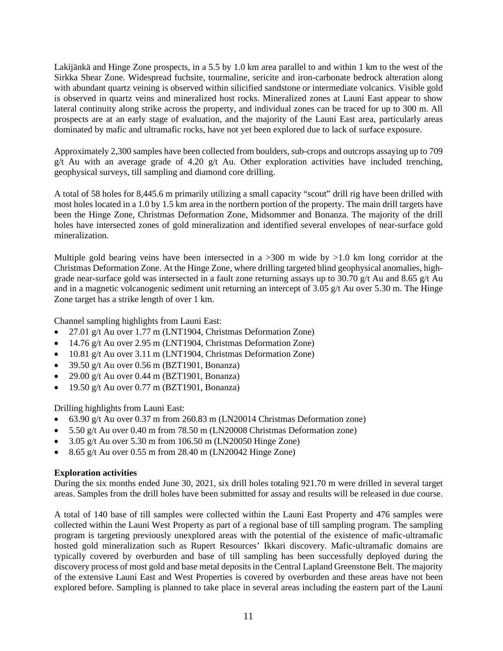Lakijänkä and Hinge Zone prospects, in a 5.5 by 1.0 km area parallel to and within 1 km to the west of the Sirkka Shear Zone. Widespread fuchsite, tourmaline, sericite and iron-carbonate bedrock alteration along with abundant quartz veining is observed within silicified sandstone or intermediate volcanics. Visible gold is observed in quartz veins and mineralized host rocks. Mineralized zones at Launi East appear to show lateral continuity along strike across the property, and individual zones can be traced for up to 300 m. All prospects are at an early stage of evaluation, and the majority of the Launi East area, particularly areas dominated by mafic and ultramafic rocks, have not yet been explored due to lack of surface exposure.

Approximately 2,300 samples have been collected from boulders, sub-crops and outcrops assaying up to 709 g/t Au with an average grade of 4.20 g/t Au. Other exploration activities have included trenching, geophysical surveys, till sampling and diamond core drilling.

A total of 58 holes for 8,445.6 m primarily utilizing a small capacity "scout" drill rig have been drilled with most holes located in a 1.0 by 1.5 km area in the northern portion of the property. The main drill targets have been the Hinge Zone, Christmas Deformation Zone, Midsommer and Bonanza. The majority of the drill holes have intersected zones of gold mineralization and identified several envelopes of near-surface gold mineralization.

Multiple gold bearing veins have been intersected in a  $>300$  m wide by  $>1.0$  km long corridor at the Christmas Deformation Zone. At the Hinge Zone, where drilling targeted blind geophysical anomalies, highgrade near-surface gold was intersected in a fault zone returning assays up to 30.70 g/t Au and 8.65 g/t Au and in a magnetic volcanogenic sediment unit returning an intercept of 3.05 g/t Au over 5.30 m. The Hinge Zone target has a strike length of over 1 km.

Channel sampling highlights from Launi East:

- 27.01 g/t Au over 1.77 m (LNT1904, Christmas Deformation Zone)
- 14.76 g/t Au over 2.95 m (LNT1904, Christmas Deformation Zone)
- 10.81 g/t Au over 3.11 m (LNT1904, Christmas Deformation Zone)
- 39.50 g/t Au over 0.56 m (BZT1901, Bonanza)
- 29.00 g/t Au over 0.44 m (BZT1901, Bonanza)
- 19.50 g/t Au over 0.77 m (BZT1901, Bonanza)

Drilling highlights from Launi East:

- 63.90 g/t Au over 0.37 m from 260.83 m (LN20014 Christmas Deformation zone)
- 5.50 g/t Au over 0.40 m from 78.50 m (LN20008 Christmas Deformation zone)
- 3.05 g/t Au over 5.30 m from  $106.50$  m (LN20050 Hinge Zone)
- 8.65 g/t Au over 0.55 m from 28.40 m (LN20042 Hinge Zone)

# **Exploration activities**

During the six months ended June 30, 2021, six drill holes totaling 921.70 m were drilled in several target areas. Samples from the drill holes have been submitted for assay and results will be released in due course.

A total of 140 base of till samples were collected within the Launi East Property and 476 samples were collected within the Launi West Property as part of a regional base of till sampling program. The sampling program is targeting previously unexplored areas with the potential of the existence of mafic-ultramafic hosted gold mineralization such as Rupert Resources' Ikkari discovery. Mafic-ultramafic domains are typically covered by overburden and base of till sampling has been successfully deployed during the discovery process of most gold and base metal deposits in the Central Lapland Greenstone Belt. The majority of the extensive Launi East and West Properties is covered by overburden and these areas have not been explored before. Sampling is planned to take place in several areas including the eastern part of the Launi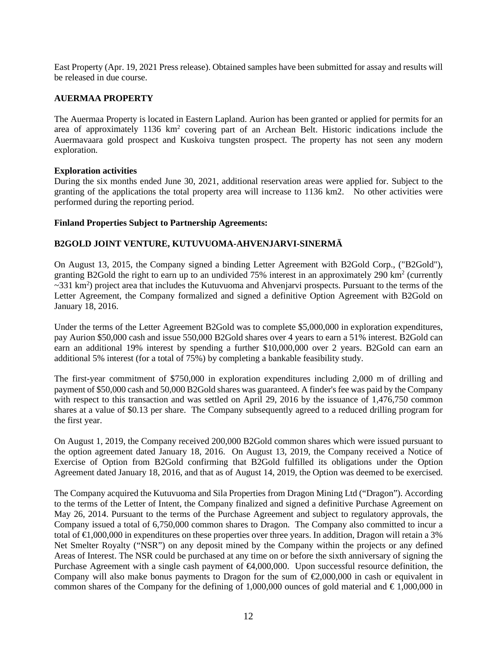East Property (Apr. 19, 2021 Press release). Obtained samples have been submitted for assay and results will be released in due course.

## **AUERMAA PROPERTY**

The Auermaa Property is located in Eastern Lapland. Aurion has been granted or applied for permits for an area of approximately 1136 km<sup>2</sup> covering part of an Archean Belt. Historic indications include the Auermavaara gold prospect and Kuskoiva tungsten prospect. The property has not seen any modern exploration.

## **Exploration activities**

During the six months ended June 30, 2021, additional reservation areas were applied for. Subject to the granting of the applications the total property area will increase to 1136 km2. No other activities were performed during the reporting period.

## **Finland Properties Subject to Partnership Agreements:**

# **B2GOLD JOINT VENTURE, KUTUVUOMA-AHVENJARVI-SINERMÄ**

On August 13, 2015, the Company signed a binding Letter Agreement with B2Gold Corp., ("B2Gold"), granting B2Gold the right to earn up to an undivided 75% interest in an approximately 290 km<sup>2</sup> (currently  $\sim$ 331 km<sup>2</sup>) project area that includes the Kutuvuoma and Ahvenjarvi prospects. Pursuant to the terms of the Letter Agreement, the Company formalized and signed a definitive Option Agreement with B2Gold on January 18, 2016.

Under the terms of the Letter Agreement B2Gold was to complete \$5,000,000 in exploration expenditures, pay Aurion \$50,000 cash and issue 550,000 B2Gold shares over 4 years to earn a 51% interest. B2Gold can earn an additional 19% interest by spending a further \$10,000,000 over 2 years. B2Gold can earn an additional 5% interest (for a total of 75%) by completing a bankable feasibility study.

The first-year commitment of \$750,000 in exploration expenditures including 2,000 m of drilling and payment of \$50,000 cash and 50,000 B2Gold shares was guaranteed. A finder's fee was paid by the Company with respect to this transaction and was settled on April 29, 2016 by the issuance of 1,476,750 common shares at a value of \$0.13 per share. The Company subsequently agreed to a reduced drilling program for the first year.

On August 1, 2019, the Company received 200,000 B2Gold common shares which were issued pursuant to the option agreement dated January 18, 2016. On August 13, 2019, the Company received a Notice of Exercise of Option from B2Gold confirming that B2Gold fulfilled its obligations under the Option Agreement dated January 18, 2016, and that as of August 14, 2019, the Option was deemed to be exercised.

The Company acquired the Kutuvuoma and Sila Properties from Dragon Mining Ltd ("Dragon"). According to the terms of the Letter of Intent, the Company finalized and signed a definitive Purchase Agreement on May 26, 2014. Pursuant to the terms of the Purchase Agreement and subject to regulatory approvals, the Company issued a total of 6,750,000 common shares to Dragon. The Company also committed to incur a total of  $\bigoplus$ ,000,000 in expenditures on these properties over three years. In addition, Dragon will retain a 3% Net Smelter Royalty ("NSR") on any deposit mined by the Company within the projects or any defined Areas of Interest. The NSR could be purchased at any time on or before the sixth anniversary of signing the Purchase Agreement with a single cash payment of  $\bigoplus$ ,000,000. Upon successful resource definition, the Company will also make bonus payments to Dragon for the sum of  $\epsilon$ 2,000,000 in cash or equivalent in common shares of the Company for the defining of 1,000,000 ounces of gold material and  $\epsilon$ 1,000,000 in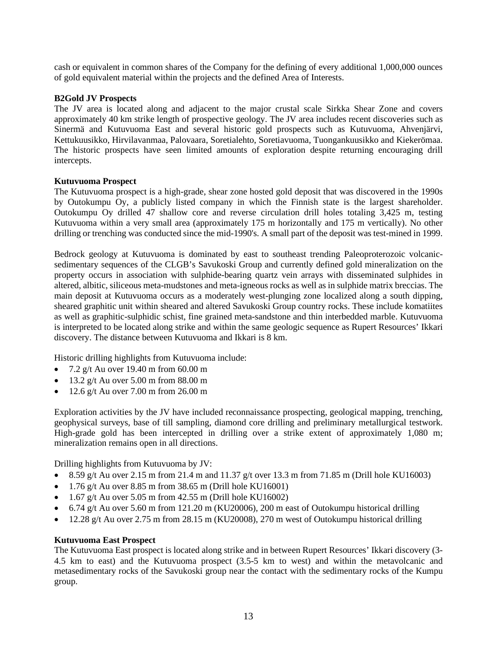cash or equivalent in common shares of the Company for the defining of every additional 1,000,000 ounces of gold equivalent material within the projects and the defined Area of Interests.

#### **B2Gold JV Prospects**

The JV area is located along and adjacent to the major crustal scale Sirkka Shear Zone and covers approximately 40 km strike length of prospective geology. The JV area includes recent discoveries such as Sinermä and Kutuvuoma East and several historic gold prospects such as Kutuvuoma, Ahvenjärvi, Kettukuusikko, Hirvilavanmaa, Palovaara, Soretialehto, Soretiavuoma, Tuongankuusikko and Kiekerömaa. The historic prospects have seen limited amounts of exploration despite returning encouraging drill intercepts.

#### **Kutuvuoma Prospect**

The Kutuvuoma prospect is a high-grade, shear zone hosted gold deposit that was discovered in the 1990s by Outokumpu Oy, a publicly listed company in which the Finnish state is the largest shareholder. Outokumpu Oy drilled 47 shallow core and reverse circulation drill holes totaling 3,425 m, testing Kutuvuoma within a very small area (approximately 175 m horizontally and 175 m vertically). No other drilling or trenching was conducted since the mid-1990's. A small part of the deposit was test-mined in 1999.

Bedrock geology at Kutuvuoma is dominated by east to southeast trending Paleoproterozoic volcanicsedimentary sequences of the CLGB's Savukoski Group and currently defined gold mineralization on the property occurs in association with sulphide-bearing quartz vein arrays with disseminated sulphides in altered, albitic, siliceous meta-mudstones and meta-igneous rocks as well as in sulphide matrix breccias. The main deposit at Kutuvuoma occurs as a moderately west-plunging zone localized along a south dipping, sheared graphitic unit within sheared and altered Savukoski Group country rocks. These include komatiites as well as graphitic-sulphidic schist, fine grained meta-sandstone and thin interbedded marble. Kutuvuoma is interpreted to be located along strike and within the same geologic sequence as Rupert Resources' Ikkari discovery. The distance between Kutuvuoma and Ikkari is 8 km.

Historic drilling highlights from Kutuvuoma include:

- 7.2 g/t Au over 19.40 m from 60.00 m
- 13.2 g/t Au over  $5.00 \text{ m}$  from  $88.00 \text{ m}$
- 12.6 g/t Au over 7.00 m from 26.00 m

Exploration activities by the JV have included reconnaissance prospecting, geological mapping, trenching, geophysical surveys, base of till sampling, diamond core drilling and preliminary metallurgical testwork. High-grade gold has been intercepted in drilling over a strike extent of approximately 1,080 m; mineralization remains open in all directions.

Drilling highlights from Kutuvuoma by JV:

- 8.59 g/t Au over 2.15 m from 21.4 m and 11.37 g/t over 13.3 m from 71.85 m (Drill hole KU16003)
- 1.76 g/t Au over 8.85 m from 38.65 m (Drill hole KU16001)
- 1.67 g/t Au over 5.05 m from 42.55 m (Drill hole KU16002)
- 6.74 g/t Au over 5.60 m from 121.20 m (KU20006), 200 m east of Outokumpu historical drilling
- 12.28 g/t Au over 2.75 m from 28.15 m (KU20008), 270 m west of Outokumpu historical drilling

#### **Kutuvuoma East Prospect**

The Kutuvuoma East prospect is located along strike and in between Rupert Resources' Ikkari discovery (3- 4.5 km to east) and the Kutuvuoma prospect (3.5-5 km to west) and within the metavolcanic and metasedimentary rocks of the Savukoski group near the contact with the sedimentary rocks of the Kumpu group.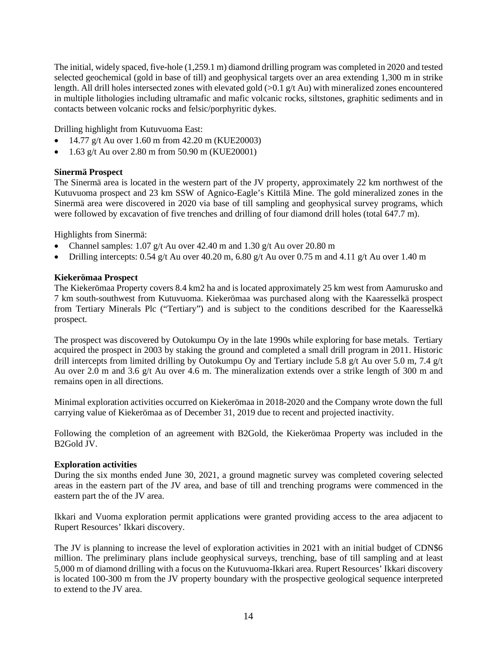The initial, widely spaced, five-hole (1,259.1 m) diamond drilling program was completed in 2020 and tested selected geochemical (gold in base of till) and geophysical targets over an area extending 1,300 m in strike length. All drill holes intersected zones with elevated gold (>0.1 g/t Au) with mineralized zones encountered in multiple lithologies including ultramafic and mafic volcanic rocks, siltstones, graphitic sediments and in contacts between volcanic rocks and felsic/porphyritic dykes.

Drilling highlight from Kutuvuoma East:

- 14.77 g/t Au over 1.60 m from 42.20 m (KUE20003)
- 1.63 g/t Au over 2.80 m from 50.90 m (KUE20001)

## **Sinermä Prospect**

The Sinermä area is located in the western part of the JV property, approximately 22 km northwest of the Kutuvuoma prospect and 23 km SSW of Agnico-Eagle's Kittilä Mine. The gold mineralized zones in the Sinermä area were discovered in 2020 via base of till sampling and geophysical survey programs, which were followed by excavation of five trenches and drilling of four diamond drill holes (total 647.7 m).

Highlights from Sinermä:

- Channel samples:  $1.07$  g/t Au over 42.40 m and  $1.30$  g/t Au over 20.80 m
- Drilling intercepts: 0.54 g/t Au over 40.20 m, 6.80 g/t Au over 0.75 m and 4.11 g/t Au over 1.40 m

#### **Kiekerömaa Prospect**

The Kiekerömaa Property covers 8.4 km2 ha and is located approximately 25 km west from Aamurusko and 7 km south-southwest from Kutuvuoma. Kiekerömaa was purchased along with the Kaaresselkä prospect from Tertiary Minerals Plc ("Tertiary") and is subject to the conditions described for the Kaaresselkä prospect.

The prospect was discovered by Outokumpu Oy in the late 1990s while exploring for base metals. Tertiary acquired the prospect in 2003 by staking the ground and completed a small drill program in 2011. Historic drill intercepts from limited drilling by Outokumpu Oy and Tertiary include 5.8 g/t Au over 5.0 m, 7.4 g/t Au over 2.0 m and 3.6 g/t Au over 4.6 m. The mineralization extends over a strike length of 300 m and remains open in all directions.

Minimal exploration activities occurred on Kiekerömaa in 2018-2020 and the Company wrote down the full carrying value of Kiekerömaa as of December 31, 2019 due to recent and projected inactivity.

Following the completion of an agreement with B2Gold, the Kiekerömaa Property was included in the B2Gold JV.

#### **Exploration activities**

During the six months ended June 30, 2021, a ground magnetic survey was completed covering selected areas in the eastern part of the JV area, and base of till and trenching programs were commenced in the eastern part the of the JV area.

Ikkari and Vuoma exploration permit applications were granted providing access to the area adjacent to Rupert Resources' Ikkari discovery.

The JV is planning to increase the level of exploration activities in 2021 with an initial budget of CDN\$6 million. The preliminary plans include geophysical surveys, trenching, base of till sampling and at least 5,000 m of diamond drilling with a focus on the Kutuvuoma-Ikkari area. Rupert Resources' Ikkari discovery is located 100-300 m from the JV property boundary with the prospective geological sequence interpreted to extend to the JV area.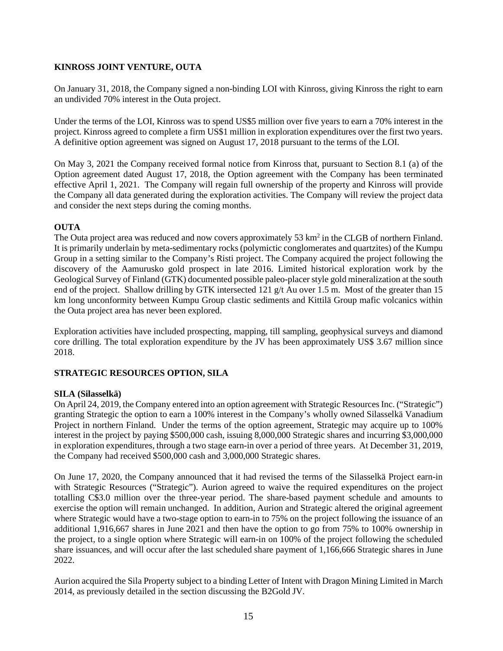# **KINROSS JOINT VENTURE, OUTA**

On January 31, 2018, the Company signed a non-binding LOI with Kinross, giving Kinross the right to earn an undivided 70% interest in the Outa project.

Under the terms of the LOI, Kinross was to spend US\$5 million over five years to earn a 70% interest in the project. Kinross agreed to complete a firm US\$1 million in exploration expenditures over the first two years. A definitive option agreement was signed on August 17, 2018 pursuant to the terms of the LOI.

On May 3, 2021 the Company received formal notice from Kinross that, pursuant to Section 8.1 (a) of the Option agreement dated August 17, 2018, the Option agreement with the Company has been terminated effective April 1, 2021. The Company will regain full ownership of the property and Kinross will provide the Company all data generated during the exploration activities. The Company will review the project data and consider the next steps during the coming months.

# **OUTA**

The Outa project area was reduced and now covers approximately 53 km<sup>2</sup> in the CLGB of northern Finland. It is primarily underlain by meta-sedimentary rocks (polymictic conglomerates and quartzites) of the Kumpu Group in a setting similar to the Company's Risti project. The Company acquired the project following the discovery of the Aamurusko gold prospect in late 2016. Limited historical exploration work by the Geological Survey of Finland (GTK) documented possible paleo-placer style gold mineralization at the south end of the project. Shallow drilling by GTK intersected 121 g/t Au over 1.5 m. Most of the greater than 15 km long unconformity between Kumpu Group clastic sediments and Kittilä Group mafic volcanics within the Outa project area has never been explored.

Exploration activities have included prospecting, mapping, till sampling, geophysical surveys and diamond core drilling. The total exploration expenditure by the JV has been approximately US\$ 3.67 million since 2018.

# **STRATEGIC RESOURCES OPTION, SILA**

## **SILA (Silasselkä)**

On April 24, 2019, the Company entered into an option agreement with Strategic Resources Inc. ("Strategic") granting Strategic the option to earn a 100% interest in the Company's wholly owned Silasselkä Vanadium Project in northern Finland. Under the terms of the option agreement, Strategic may acquire up to 100% interest in the project by paying \$500,000 cash, issuing 8,000,000 Strategic shares and incurring \$3,000,000 in exploration expenditures, through a two stage earn-in over a period of three years. At December 31, 2019, the Company had received \$500,000 cash and 3,000,000 Strategic shares.

On June 17, 2020, the Company announced that it had revised the terms of the Silasselkä Project earn-in with Strategic Resources ("Strategic"). Aurion agreed to waive the required expenditures on the project totalling C\$3.0 million over the three-year period. The share-based payment schedule and amounts to exercise the option will remain unchanged. In addition, Aurion and Strategic altered the original agreement where Strategic would have a two-stage option to earn-in to 75% on the project following the issuance of an additional 1,916,667 shares in June 2021 and then have the option to go from 75% to 100% ownership in the project, to a single option where Strategic will earn-in on 100% of the project following the scheduled share issuances, and will occur after the last scheduled share payment of 1,166,666 Strategic shares in June 2022.

Aurion acquired the Sila Property subject to a binding Letter of Intent with Dragon Mining Limited in March 2014, as previously detailed in the section discussing the B2Gold JV.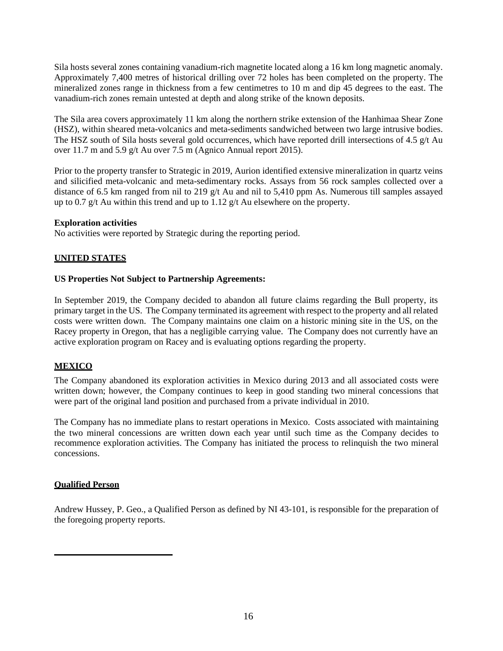Sila hosts several zones containing vanadium-rich magnetite located along a 16 km long magnetic anomaly. Approximately 7,400 metres of historical drilling over 72 holes has been completed on the property. The mineralized zones range in thickness from a few centimetres to 10 m and dip 45 degrees to the east. The vanadium-rich zones remain untested at depth and along strike of the known deposits.

The Sila area covers approximately 11 km along the northern strike extension of the Hanhimaa Shear Zone (HSZ), within sheared meta-volcanics and meta-sediments sandwiched between two large intrusive bodies. The HSZ south of Sila hosts several gold occurrences, which have reported drill intersections of 4.5 g/t Au over 11.7 m and 5.9 g/t Au over 7.5 m (Agnico Annual report 2015).

Prior to the property transfer to Strategic in 2019, Aurion identified extensive mineralization in quartz veins and silicified meta-volcanic and meta-sedimentary rocks. Assays from 56 rock samples collected over a distance of 6.5 km ranged from nil to 219 g/t Au and nil to 5,410 ppm As. Numerous till samples assayed up to 0.7  $g/t$  Au within this trend and up to 1.12  $g/t$  Au elsewhere on the property.

#### **Exploration activities**

No activities were reported by Strategic during the reporting period.

## **UNITED STATES**

#### **US Properties Not Subject to Partnership Agreements:**

In September 2019, the Company decided to abandon all future claims regarding the Bull property, its primary target in the US. The Company terminated its agreement with respect to the property and all related costs were written down. The Company maintains one claim on a historic mining site in the US, on the Racey property in Oregon, that has a negligible carrying value. The Company does not currently have an active exploration program on Racey and is evaluating options regarding the property.

## **MEXICO**

The Company abandoned its exploration activities in Mexico during 2013 and all associated costs were written down; however, the Company continues to keep in good standing two mineral concessions that were part of the original land position and purchased from a private individual in 2010.

The Company has no immediate plans to restart operations in Mexico. Costs associated with maintaining the two mineral concessions are written down each year until such time as the Company decides to recommence exploration activities. The Company has initiated the process to relinquish the two mineral concessions.

## **Qualified Person**

Andrew Hussey, P. Geo., a Qualified Person as defined by NI 43-101, is responsible for the preparation of the foregoing property reports.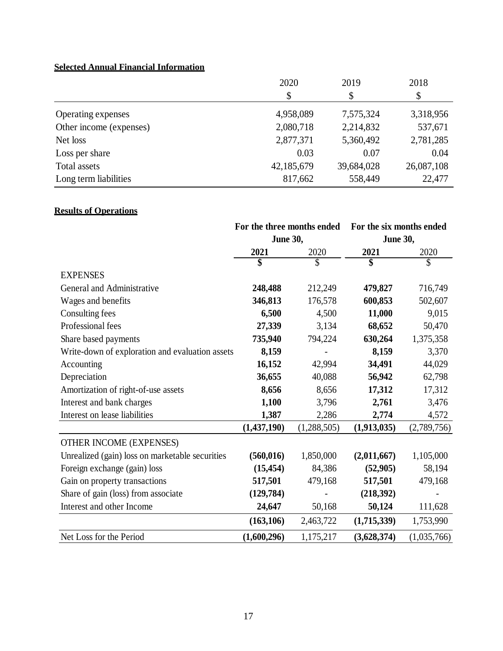# **Selected Annual Financial Information**

|                         | 2020       | 2019       | 2018       |
|-------------------------|------------|------------|------------|
|                         | \$         | \$         | \$         |
| Operating expenses      | 4,958,089  | 7,575,324  | 3,318,956  |
| Other income (expenses) | 2,080,718  | 2,214,832  | 537,671    |
| Net loss                | 2,877,371  | 5,360,492  | 2,781,285  |
| Loss per share          | 0.03       | 0.07       | 0.04       |
| Total assets            | 42,185,679 | 39,684,028 | 26,087,108 |
| Long term liabilities   | 817,662    | 558,449    | 22,477     |

# **Results of Operations**

|                                                 |                 | For the three months ended |                 | For the six months ended |
|-------------------------------------------------|-----------------|----------------------------|-----------------|--------------------------|
|                                                 | <b>June 30,</b> |                            | <b>June 30,</b> |                          |
|                                                 | 2021            | 2020                       | 2021            | 2020                     |
|                                                 | \$              | \$                         | \$              | \$                       |
| <b>EXPENSES</b>                                 |                 |                            |                 |                          |
| General and Administrative                      | 248,488         | 212,249                    | 479,827         | 716,749                  |
| Wages and benefits                              | 346,813         | 176,578                    | 600,853         | 502,607                  |
| Consulting fees                                 | 6,500           | 4,500                      | 11,000          | 9,015                    |
| Professional fees                               | 27,339          | 3,134                      | 68,652          | 50,470                   |
| Share based payments                            | 735,940         | 794,224                    | 630,264         | 1,375,358                |
| Write-down of exploration and evaluation assets | 8,159           |                            | 8,159           | 3,370                    |
| Accounting                                      | 16,152          | 42,994                     | 34,491          | 44,029                   |
| Depreciation                                    | 36,655          | 40,088                     | 56,942          | 62,798                   |
| Amortization of right-of-use assets             | 8,656           | 8,656                      | 17,312          | 17,312                   |
| Interest and bank charges                       | 1,100           | 3,796                      | 2,761           | 3,476                    |
| Interest on lease liabilities                   | 1,387           | 2,286                      | 2,774           | 4,572                    |
|                                                 | (1,437,190)     | (1,288,505)                | (1,913,035)     | (2,789,756)              |
| OTHER INCOME (EXPENSES)                         |                 |                            |                 |                          |
| Unrealized (gain) loss on marketable securities | (560, 016)      | 1,850,000                  | (2,011,667)     | 1,105,000                |
| Foreign exchange (gain) loss                    | (15, 454)       | 84,386                     | (52,905)        | 58,194                   |
| Gain on property transactions                   | 517,501         | 479,168                    | 517,501         | 479,168                  |
| Share of gain (loss) from associate             | (129, 784)      |                            | (218,392)       |                          |
| Interest and other Income                       | 24,647          | 50,168                     | 50,124          | 111,628                  |
|                                                 | (163, 106)      | 2,463,722                  | (1,715,339)     | 1,753,990                |
| Net Loss for the Period                         | (1,600,296)     | 1,175,217                  | (3,628,374)     | (1,035,766)              |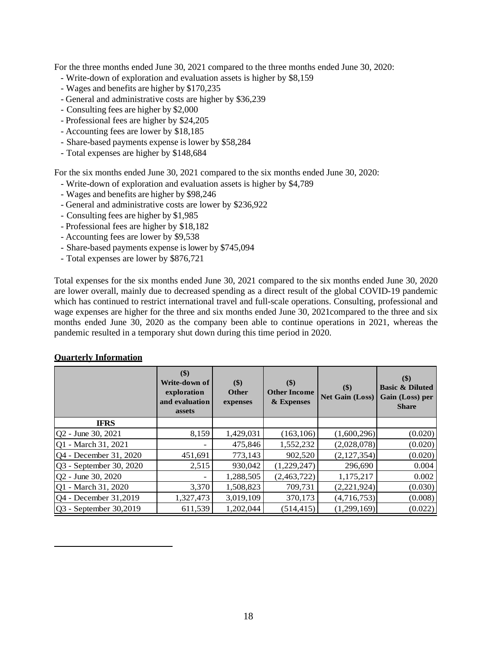For the three months ended June 30, 2021 compared to the three months ended June 30, 2020:

- Write-down of exploration and evaluation assets is higher by \$8,159
- Wages and benefits are higher by \$170,235
- General and administrative costs are higher by \$36,239
- Consulting fees are higher by \$2,000
- Professional fees are higher by \$24,205
- Accounting fees are lower by \$18,185
- Share-based payments expense is lower by \$58,284
- Total expenses are higher by \$148,684

For the six months ended June 30, 2021 compared to the six months ended June 30, 2020:

- Write-down of exploration and evaluation assets is higher by \$4,789
- Wages and benefits are higher by \$98,246
- General and administrative costs are lower by \$236,922
- Consulting fees are higher by \$1,985
- Professional fees are higher by \$18,182
- Accounting fees are lower by \$9,538
- Share-based payments expense is lower by \$745,094
- Total expenses are lower by \$876,721

Total expenses for the six months ended June 30, 2021 compared to the six months ended June 30, 2020 are lower overall, mainly due to decreased spending as a direct result of the global COVID-19 pandemic which has continued to restrict international travel and full-scale operations. Consulting, professional and wage expenses are higher for the three and six months ended June 30, 2021compared to the three and six months ended June 30, 2020 as the company been able to continue operations in 2021, whereas the pandemic resulted in a temporary shut down during this time period in 2020.

|                               | \$)<br>Write-down of<br>exploration<br>and evaluation<br>assets | \$)<br><b>Other</b><br>expenses | \$)<br><b>Other Income</b><br>& Expenses | $($ \$)<br><b>Net Gain (Loss)</b> | $($ \$)<br><b>Basic &amp; Diluted</b><br>Gain (Loss) per<br><b>Share</b> |
|-------------------------------|-----------------------------------------------------------------|---------------------------------|------------------------------------------|-----------------------------------|--------------------------------------------------------------------------|
| <b>IFRS</b>                   |                                                                 |                                 |                                          |                                   |                                                                          |
| $ Q2 - \text{June } 30, 2021$ | 8,159                                                           | 1,429,031                       | (163, 106)                               | (1,600,296)                       | (0.020)                                                                  |
| Q1 - March 31, 2021           |                                                                 | 475,846                         | 1,552,232                                | (2,028,078)                       | (0.020)                                                                  |
| Q4 - December 31, 2020        | 451,691                                                         | 773,143                         | 902,520                                  | (2,127,354)                       | (0.020)                                                                  |
| Q3 - September 30, 2020       | 2,515                                                           | 930,042                         | (1,229,247)                              | 296,690                           | 0.004                                                                    |
| Q2 - June 30, 2020            | ۰                                                               | 1,288,505                       | (2,463,722)                              | 1,175,217                         | 0.002                                                                    |
| Q1 - March 31, 2020           | 3,370                                                           | 1,508,823                       | 709,731                                  | (2,221,924)                       | (0.030)                                                                  |
| Q4 - December 31,2019         | 1,327,473                                                       | 3,019,109                       | 370,173                                  | (4,716,753)                       | (0.008)                                                                  |
| Q3 - September 30,2019        | 611,539                                                         | 1,202,044                       | (514, 415)                               | (1,299,169)                       | (0.022)                                                                  |

#### **Quarterly Information**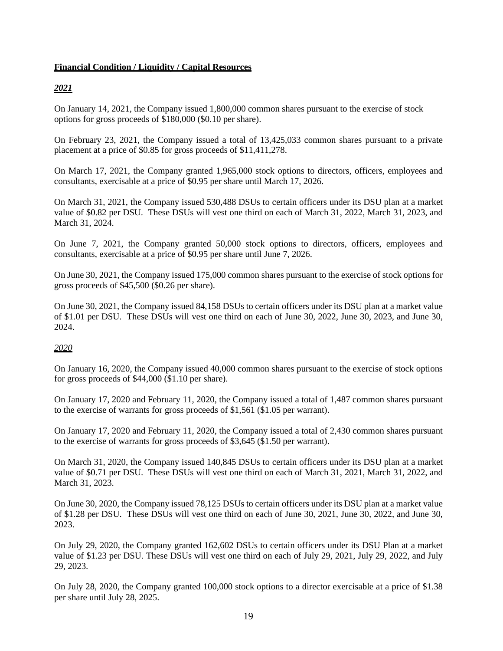#### **Financial Condition / Liquidity / Capital Resources**

# *2021*

On January 14, 2021, the Company issued 1,800,000 common shares pursuant to the exercise of stock options for gross proceeds of \$180,000 (\$0.10 per share).

On February 23, 2021, the Company issued a total of 13,425,033 common shares pursuant to a private placement at a price of \$0.85 for gross proceeds of \$11,411,278.

On March 17, 2021, the Company granted 1,965,000 stock options to directors, officers, employees and consultants, exercisable at a price of \$0.95 per share until March 17, 2026.

On March 31, 2021, the Company issued 530,488 DSUs to certain officers under its DSU plan at a market value of \$0.82 per DSU. These DSUs will vest one third on each of March 31, 2022, March 31, 2023, and March 31, 2024.

On June 7, 2021, the Company granted 50,000 stock options to directors, officers, employees and consultants, exercisable at a price of \$0.95 per share until June 7, 2026.

On June 30, 2021, the Company issued 175,000 common shares pursuant to the exercise of stock options for gross proceeds of \$45,500 (\$0.26 per share).

On June 30, 2021, the Company issued 84,158 DSUs to certain officers under its DSU plan at a market value of \$1.01 per DSU. These DSUs will vest one third on each of June 30, 2022, June 30, 2023, and June 30, 2024.

# *2020*

On January 16, 2020, the Company issued 40,000 common shares pursuant to the exercise of stock options for gross proceeds of \$44,000 (\$1.10 per share).

On January 17, 2020 and February 11, 2020, the Company issued a total of 1,487 common shares pursuant to the exercise of warrants for gross proceeds of \$1,561 (\$1.05 per warrant).

On January 17, 2020 and February 11, 2020, the Company issued a total of 2,430 common shares pursuant to the exercise of warrants for gross proceeds of \$3,645 (\$1.50 per warrant).

On March 31, 2020, the Company issued 140,845 DSUs to certain officers under its DSU plan at a market value of \$0.71 per DSU. These DSUs will vest one third on each of March 31, 2021, March 31, 2022, and March 31, 2023.

On June 30, 2020, the Company issued 78,125 DSUs to certain officers under its DSU plan at a market value of \$1.28 per DSU. These DSUs will vest one third on each of June 30, 2021, June 30, 2022, and June 30, 2023.

On July 29, 2020, the Company granted 162,602 DSUs to certain officers under its DSU Plan at a market value of \$1.23 per DSU. These DSUs will vest one third on each of July 29, 2021, July 29, 2022, and July 29, 2023.

On July 28, 2020, the Company granted 100,000 stock options to a director exercisable at a price of \$1.38 per share until July 28, 2025.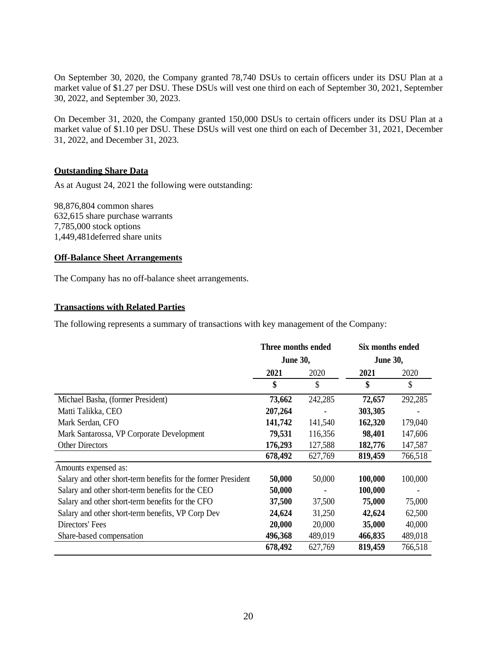On September 30, 2020, the Company granted 78,740 DSUs to certain officers under its DSU Plan at a market value of \$1.27 per DSU. These DSUs will vest one third on each of September 30, 2021, September 30, 2022, and September 30, 2023.

On December 31, 2020, the Company granted 150,000 DSUs to certain officers under its DSU Plan at a market value of \$1.10 per DSU. These DSUs will vest one third on each of December 31, 2021, December 31, 2022, and December 31, 2023.

## **Outstanding Share Data**

As at August 24, 2021 the following were outstanding:

98,876,804 common shares 632,615 share purchase warrants 7,785,000 stock options 1,449,481deferred share units

## **Off-Balance Sheet Arrangements**

The Company has no off-balance sheet arrangements.

#### **Transactions with Related Parties**

The following represents a summary of transactions with key management of the Company:

|                                                               | Three months ended |               | Six months ended |         |  |
|---------------------------------------------------------------|--------------------|---------------|------------------|---------|--|
|                                                               | <b>June 30,</b>    |               | <b>June 30,</b>  |         |  |
|                                                               | 2021               | 2020          | 2021             | 2020    |  |
|                                                               | \$                 | $\mathcal{S}$ | \$               | \$      |  |
| Michael Basha, (former President)                             | 73,662             | 242,285       | 72,657           | 292,285 |  |
| Matti Talikka, CEO                                            | 207,264            |               | 303,305          |         |  |
| Mark Serdan, CFO                                              | 141,742            | 141,540       | 162,320          | 179,040 |  |
| Mark Santarossa, VP Corporate Development                     | 79,531             | 116,356       | 98,401           | 147,606 |  |
| <b>Other Directors</b>                                        | 176,293            | 127,588       | 182,776          | 147,587 |  |
|                                                               | 678,492            | 627,769       | 819,459          | 766,518 |  |
| Amounts expensed as:                                          |                    |               |                  |         |  |
| Salary and other short-term benefits for the former President | 50,000             | 50,000        | 100,000          | 100,000 |  |
| Salary and other short-term benefits for the CEO              | 50,000             |               | 100,000          |         |  |
| Salary and other short-term benefits for the CFO              | 37,500             | 37,500        | 75,000           | 75,000  |  |
| Salary and other short-term benefits, VP Corp Dev             | 24,624             | 31,250        | 42,624           | 62,500  |  |
| Directors' Fees                                               | 20,000             | 20,000        | 35,000           | 40,000  |  |
| Share-based compensation                                      | 496,368            | 489,019       | 466,835          | 489,018 |  |
|                                                               | 678,492            | 627,769       | 819,459          | 766,518 |  |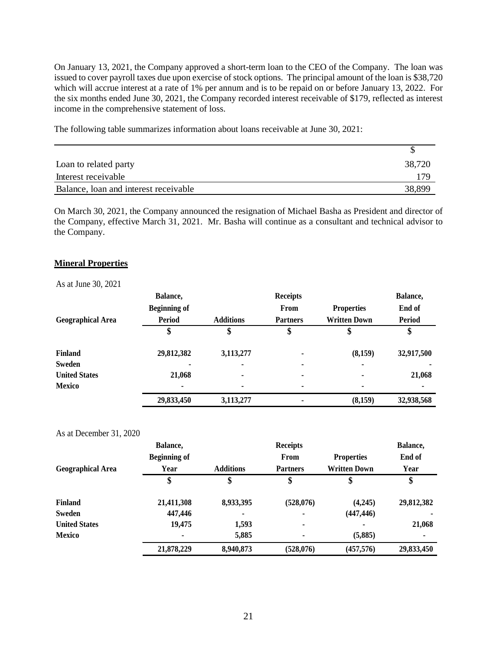On January 13, 2021, the Company approved a short-term loan to the CEO of the Company. The loan was issued to cover payroll taxes due upon exercise of stock options. The principal amount of the loan is \$38,720 which will accrue interest at a rate of 1% per annum and is to be repaid on or before January 13, 2022. For the six months ended June 30, 2021, the Company recorded interest receivable of \$179, reflected as interest income in the comprehensive statement of loss.

The following table summarizes information about loans receivable at June 30, 2021:

| Loan to related party                 | 38,720 |
|---------------------------------------|--------|
| Interest receivable                   | 179    |
| Balance, loan and interest receivable | 38,899 |

On March 30, 2021, the Company announced the resignation of Michael Basha as President and director of the Company, effective March 31, 2021. Mr. Basha will continue as a consultant and technical advisor to the Company.

#### **Mineral Properties**

As at June 30, 2021

| $110 \text{ at } \theta \text{ and } 50, 2021$ | Balance,<br><b>Beginning of</b> |                          | <b>Receipts</b><br>From | <b>Properties</b>   | Balance,<br>End of |
|------------------------------------------------|---------------------------------|--------------------------|-------------------------|---------------------|--------------------|
| <b>Geographical Area</b>                       | <b>Period</b>                   | <b>Additions</b>         | <b>Partners</b>         | <b>Written Down</b> | <b>Period</b>      |
|                                                | \$                              |                          | \$                      |                     | Φ                  |
| <b>Finland</b>                                 | 29,812,382                      | 3,113,277                | ۰                       | (8,159)             | 32,917,500         |
| Sweden                                         | $\blacksquare$                  | $\overline{\phantom{a}}$ | ٠                       | ٠                   |                    |
| <b>United States</b>                           | 21,068                          | ٠                        | $\blacksquare$          | ٠                   | 21,068             |
| <b>Mexico</b>                                  |                                 | $\blacksquare$           | ٠                       | ٠                   |                    |
|                                                | 29,833,450                      | 3,113,277                | ٠                       | (8,159)             | 32,938,568         |

#### As at December 31, 2020

|                          | Balance,            |                  | <b>Receipts</b> |                     | Balance,       |
|--------------------------|---------------------|------------------|-----------------|---------------------|----------------|
|                          | <b>Beginning of</b> |                  | From            | <b>Properties</b>   | End of         |
| <b>Geographical Area</b> | Year                | <b>Additions</b> | <b>Partners</b> | <b>Written Down</b> | Year           |
|                          | \$                  | \$               | \$              | \$                  | \$             |
| <b>Finland</b>           | 21,411,308          | 8,933,395        | (528,076)       | (4,245)             | 29,812,382     |
| Sweden                   | 447,446             | ۰                | $\blacksquare$  | (447, 446)          |                |
| <b>United States</b>     | 19,475              | 1,593            | $\blacksquare$  | $\blacksquare$      | 21,068         |
| <b>Mexico</b>            | ۰                   | 5,885            | $\blacksquare$  | (5,885)             | $\blacksquare$ |
|                          | 21,878,229          | 8,940,873        | (528,076)       | (457, 576)          | 29,833,450     |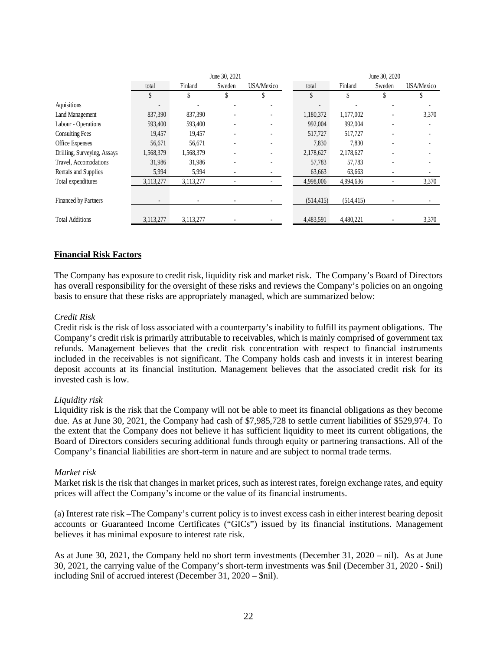|                             | June 30, 2021            |           |        |                              |            | June 30, 2020 |        |            |
|-----------------------------|--------------------------|-----------|--------|------------------------------|------------|---------------|--------|------------|
|                             | total                    | Finland   | Sweden | USA/Mexico                   | total      | Finland       | Sweden | USA/Mexico |
|                             | \$                       | \$        | \$     | S                            | \$         |               | \$     |            |
| Aquisitions                 | -                        |           |        |                              |            |               |        |            |
| Land Management             | 837,390                  | 837,390   |        | $\qquad \qquad \blacksquare$ | 1,180,372  | 1,177,002     |        | 3,370      |
| Labour - Operations         | 593,400                  | 593,400   |        |                              | 992,004    | 992,004       |        |            |
| <b>Consulting Fees</b>      | 19,457                   | 19,457    |        |                              | 517,727    | 517,727       |        |            |
| Office Expenses             | 56,671                   | 56,671    |        | $\qquad \qquad \blacksquare$ | 7,830      | 7,830         |        |            |
| Drilling, Surveying, Assays | 1,568,379                | 1,568,379 |        |                              | 2,178,627  | 2,178,627     |        |            |
| Travel, Accomodations       | 31,986                   | 31,986    |        |                              | 57,783     | 57,783        |        |            |
| Rentals and Supplies        | 5,994                    | 5,994     |        |                              | 63,663     | 63,663        |        |            |
| Total expenditures          | 3,113,277                | 3,113,277 |        |                              | 4,998,006  | 4,994,636     |        | 3,370      |
|                             |                          |           |        |                              |            |               |        |            |
| Financed by Partners        | $\overline{\phantom{a}}$ |           |        |                              | (514, 415) | (514, 415)    |        |            |
|                             |                          |           |        |                              |            |               |        |            |
| <b>Total Additions</b>      | 3,113,277                | 3,113,277 |        |                              | 4,483,591  | 4,480,221     |        | 3,370      |

## **Financial Risk Factors**

The Company has exposure to credit risk, liquidity risk and market risk. The Company's Board of Directors has overall responsibility for the oversight of these risks and reviews the Company's policies on an ongoing basis to ensure that these risks are appropriately managed, which are summarized below:

#### *Credit Risk*

Credit risk is the risk of loss associated with a counterparty's inability to fulfill its payment obligations. The Company's credit risk is primarily attributable to receivables, which is mainly comprised of government tax refunds. Management believes that the credit risk concentration with respect to financial instruments included in the receivables is not significant. The Company holds cash and invests it in interest bearing deposit accounts at its financial institution. Management believes that the associated credit risk for its invested cash is low.

#### *Liquidity risk*

Liquidity risk is the risk that the Company will not be able to meet its financial obligations as they become due. As at June 30, 2021, the Company had cash of \$7,985,728 to settle current liabilities of \$529,974. To the extent that the Company does not believe it has sufficient liquidity to meet its current obligations, the Board of Directors considers securing additional funds through equity or partnering transactions. All of the Company's financial liabilities are short-term in nature and are subject to normal trade terms.

## *Market risk*

Market risk is the risk that changes in market prices, such as interest rates, foreign exchange rates, and equity prices will affect the Company's income or the value of its financial instruments.

(a) Interest rate risk –The Company's current policy is to invest excess cash in either interest bearing deposit accounts or Guaranteed Income Certificates ("GICs") issued by its financial institutions. Management believes it has minimal exposure to interest rate risk.

As at June 30, 2021, the Company held no short term investments (December 31, 2020 – nil). As at June 30, 2021, the carrying value of the Company's short-term investments was \$nil (December 31, 2020 - \$nil) including \$nil of accrued interest (December 31, 2020 – \$nil).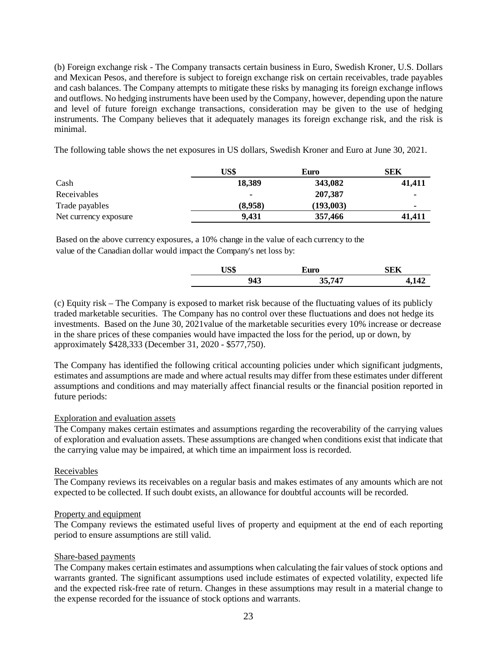(b) Foreign exchange risk - The Company transacts certain business in Euro, Swedish Kroner, U.S. Dollars and Mexican Pesos, and therefore is subject to foreign exchange risk on certain receivables, trade payables and cash balances. The Company attempts to mitigate these risks by managing its foreign exchange inflows and outflows. No hedging instruments have been used by the Company, however, depending upon the nature and level of future foreign exchange transactions, consideration may be given to the use of hedging instruments. The Company believes that it adequately manages its foreign exchange risk, and the risk is minimal.

The following table shows the net exposures in US dollars, Swedish Kroner and Euro at June 30, 2021.

|                       | US\$    | Euro      | SEK    |
|-----------------------|---------|-----------|--------|
| Cash                  | 18,389  | 343,082   | 41,411 |
| Receivables           |         | 207,387   | ٠      |
| Trade payables        | (8,958) | (193.003) |        |
| Net currency exposure | 9,431   | 357,466   | 41.411 |

Based on the above currency exposures, a 10% change in the value of each currency to the value of the Canadian dollar would impact the Company's net loss by:

| $ \sim$<br>பூ | Euro  | SEK |
|---------------|-------|-----|
| 043<br>ノー・ソ   | 35747 | 141 |

(c) Equity risk – The Company is exposed to market risk because of the fluctuating values of its publicly traded marketable securities. The Company has no control over these fluctuations and does not hedge its investments. Based on the June 30, 2021value of the marketable securities every 10% increase or decrease in the share prices of these companies would have impacted the loss for the period, up or down, by approximately \$428,333 (December 31, 2020 - \$577,750).

The Company has identified the following critical accounting policies under which significant judgments, estimates and assumptions are made and where actual results may differ from these estimates under different assumptions and conditions and may materially affect financial results or the financial position reported in future periods:

## Exploration and evaluation assets

The Company makes certain estimates and assumptions regarding the recoverability of the carrying values of exploration and evaluation assets. These assumptions are changed when conditions exist that indicate that the carrying value may be impaired, at which time an impairment loss is recorded.

#### Receivables

The Company reviews its receivables on a regular basis and makes estimates of any amounts which are not expected to be collected. If such doubt exists, an allowance for doubtful accounts will be recorded.

#### Property and equipment

The Company reviews the estimated useful lives of property and equipment at the end of each reporting period to ensure assumptions are still valid.

## Share-based payments

The Company makes certain estimates and assumptions when calculating the fair values of stock options and warrants granted. The significant assumptions used include estimates of expected volatility, expected life and the expected risk-free rate of return. Changes in these assumptions may result in a material change to the expense recorded for the issuance of stock options and warrants.